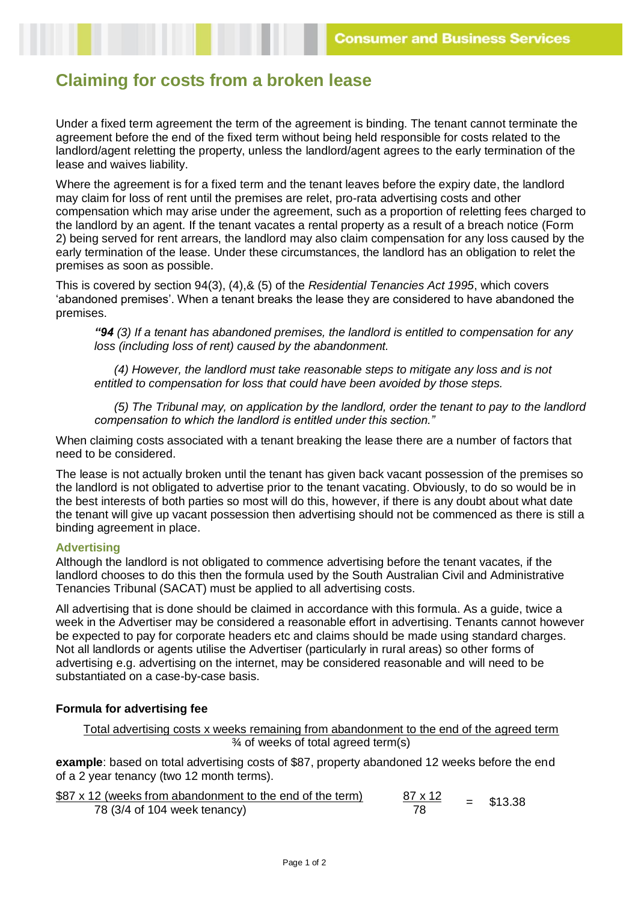# **Claiming for costs from a broken lease**

Under a fixed term agreement the term of the agreement is binding. The tenant cannot terminate the agreement before the end of the fixed term without being held responsible for costs related to the landlord/agent reletting the property, unless the landlord/agent agrees to the early termination of the lease and waives liability.

Where the agreement is for a fixed term and the tenant leaves before the expiry date, the landlord may claim for loss of rent until the premises are relet, pro-rata advertising costs and other compensation which may arise under the agreement, such as a proportion of reletting fees charged to the landlord by an agent. If the tenant vacates a rental property as a result of a breach notice (Form 2) being served for rent arrears, the landlord may also claim compensation for any loss caused by the early termination of the lease. Under these circumstances, the landlord has an obligation to relet the premises as soon as possible.

This is covered by section 94(3), (4),& (5) of the *Residential Tenancies Act 1995*, which covers 'abandoned premises'. When a tenant breaks the lease they are considered to have abandoned the premises.

*"94 (3) If a tenant has abandoned premises, the landlord is entitled to compensation for any loss (including loss of rent) caused by the abandonment.*

 *(4) However, the landlord must take reasonable steps to mitigate any loss and is not entitled to compensation for loss that could have been avoided by those steps.*

 *(5) The Tribunal may, on application by the landlord, order the tenant to pay to the landlord compensation to which the landlord is entitled under this section."*

When claiming costs associated with a tenant breaking the lease there are a number of factors that need to be considered.

The lease is not actually broken until the tenant has given back vacant possession of the premises so the landlord is not obligated to advertise prior to the tenant vacating. Obviously, to do so would be in the best interests of both parties so most will do this, however, if there is any doubt about what date the tenant will give up vacant possession then advertising should not be commenced as there is still a binding agreement in place.

## **Advertising**

Although the landlord is not obligated to commence advertising before the tenant vacates, if the landlord chooses to do this then the formula used by the South Australian Civil and Administrative Tenancies Tribunal (SACAT) must be applied to all advertising costs.

All advertising that is done should be claimed in accordance with this formula. As a guide, twice a week in the Advertiser may be considered a reasonable effort in advertising. Tenants cannot however be expected to pay for corporate headers etc and claims should be made using standard charges. Not all landlords or agents utilise the Advertiser (particularly in rural areas) so other forms of advertising e.g. advertising on the internet, may be considered reasonable and will need to be substantiated on a case-by-case basis.

## **Formula for advertising fee**

Total advertising costs x weeks remaining from abandonment to the end of the agreed term ¾ of weeks of total agreed term(s)

**example**: based on total advertising costs of \$87, property abandoned 12 weeks before the end of a 2 year tenancy (two 12 month terms).

| \$87 x 12 (weeks from abandonment to the end of the term) | 87 x 12 | $=$ \$13.38 |
|-----------------------------------------------------------|---------|-------------|
| 78 (3/4 of 104 week tenancy)                              |         |             |